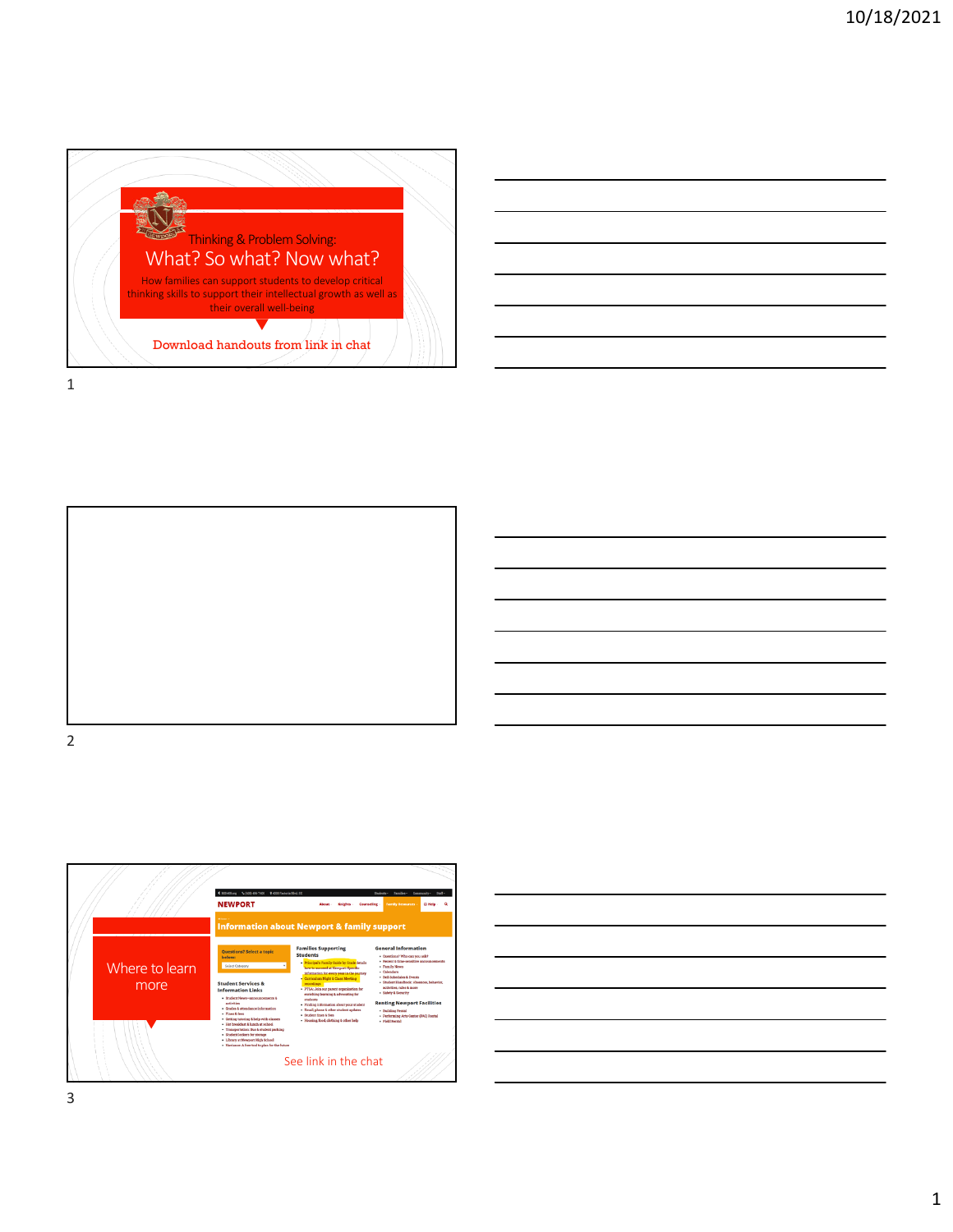







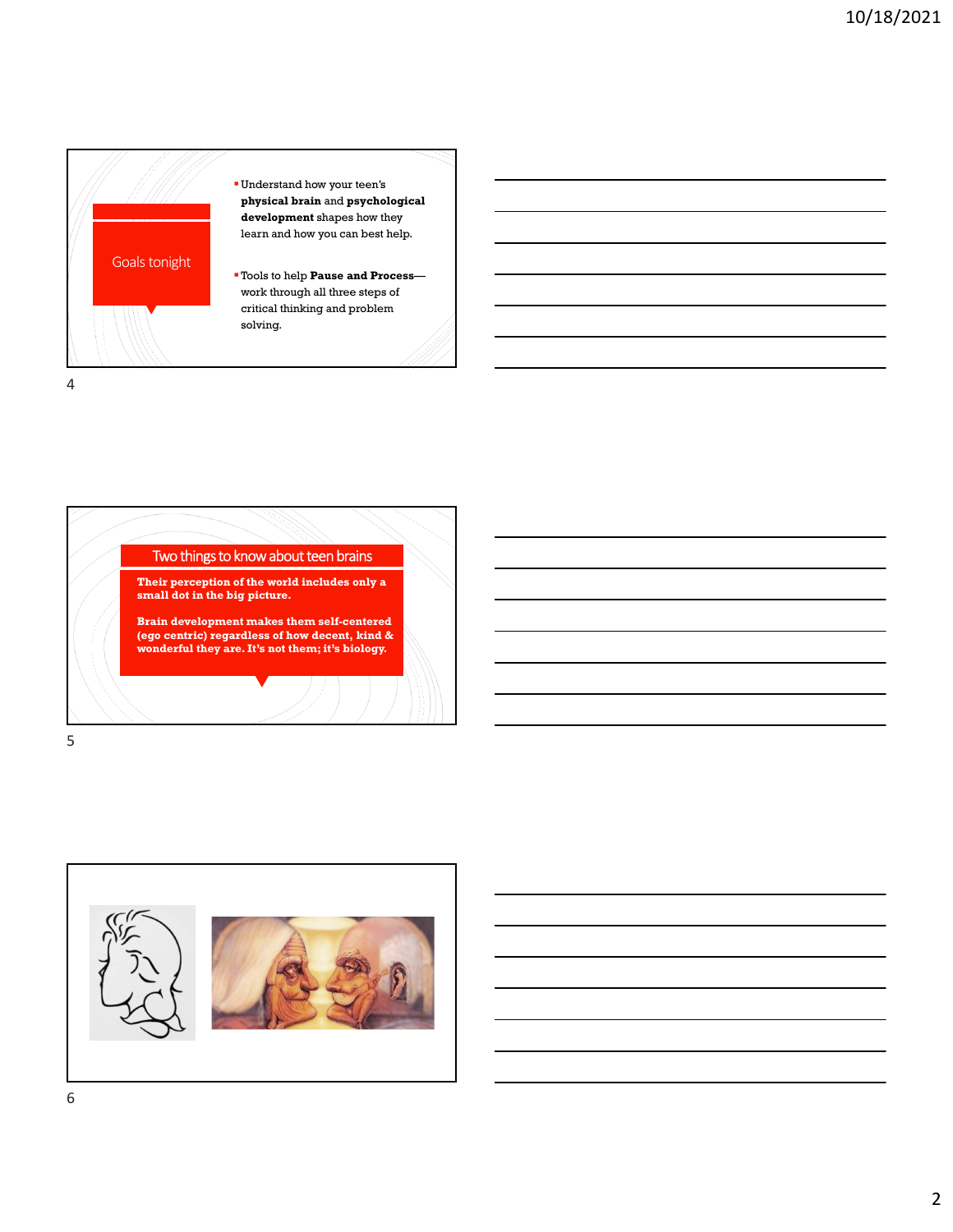

Two things to know about teen brains • **Their perception of the world includes only a small dot in the big picture.** • **Brain development makes them self-centered (ego centric) regardless of how decent, kind & wonderful they are. It's not them; it's biology.**  5

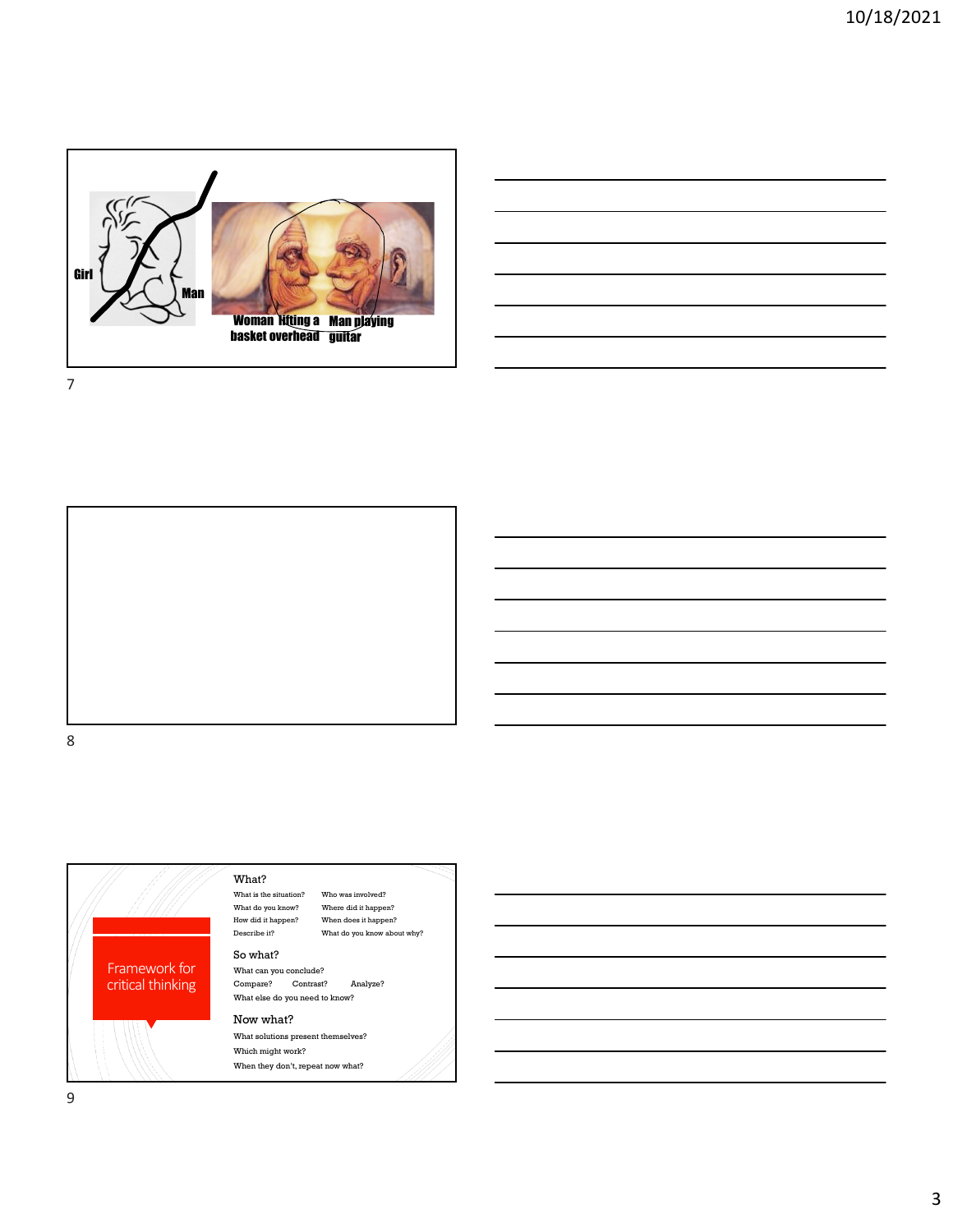

7



8



9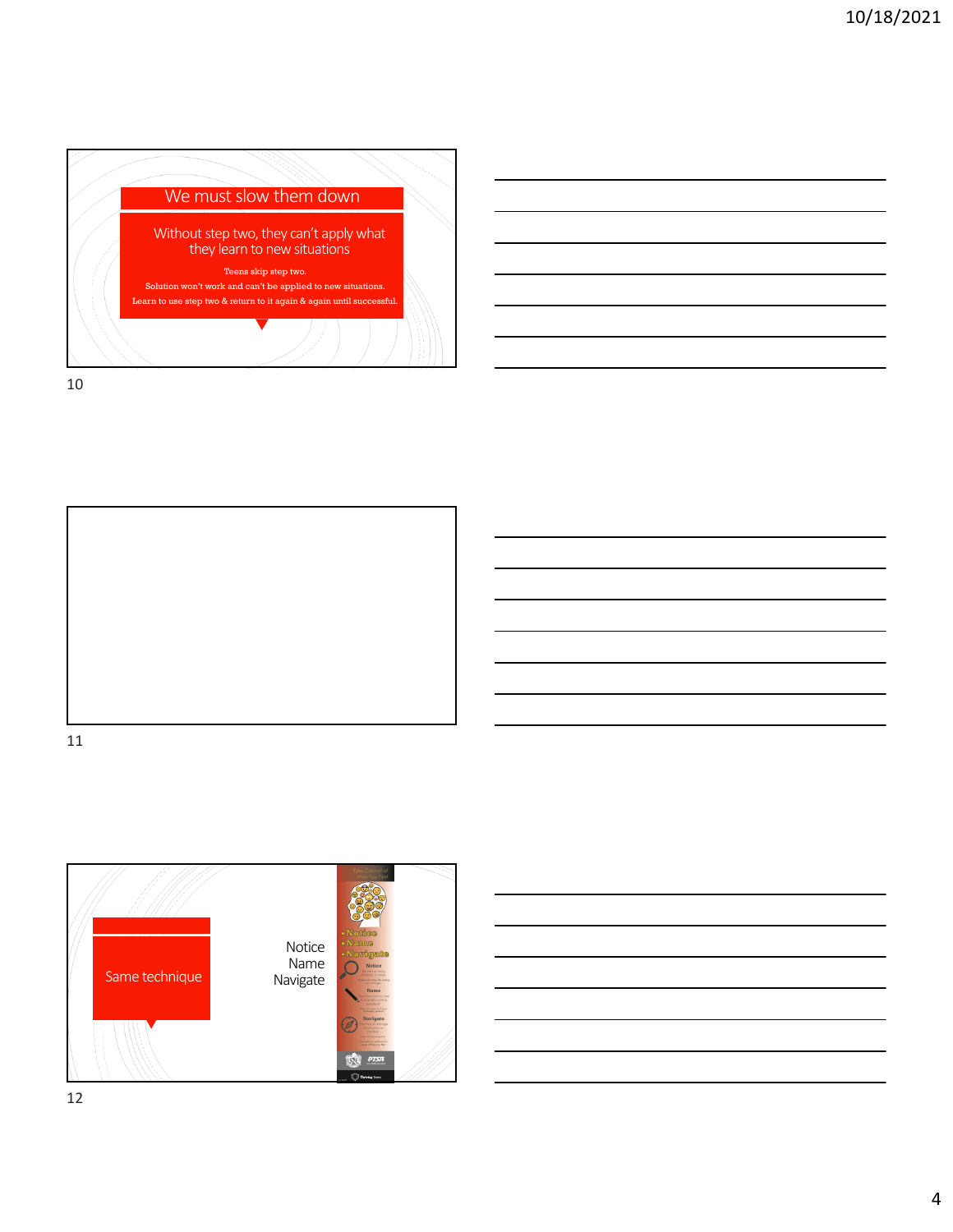



11





12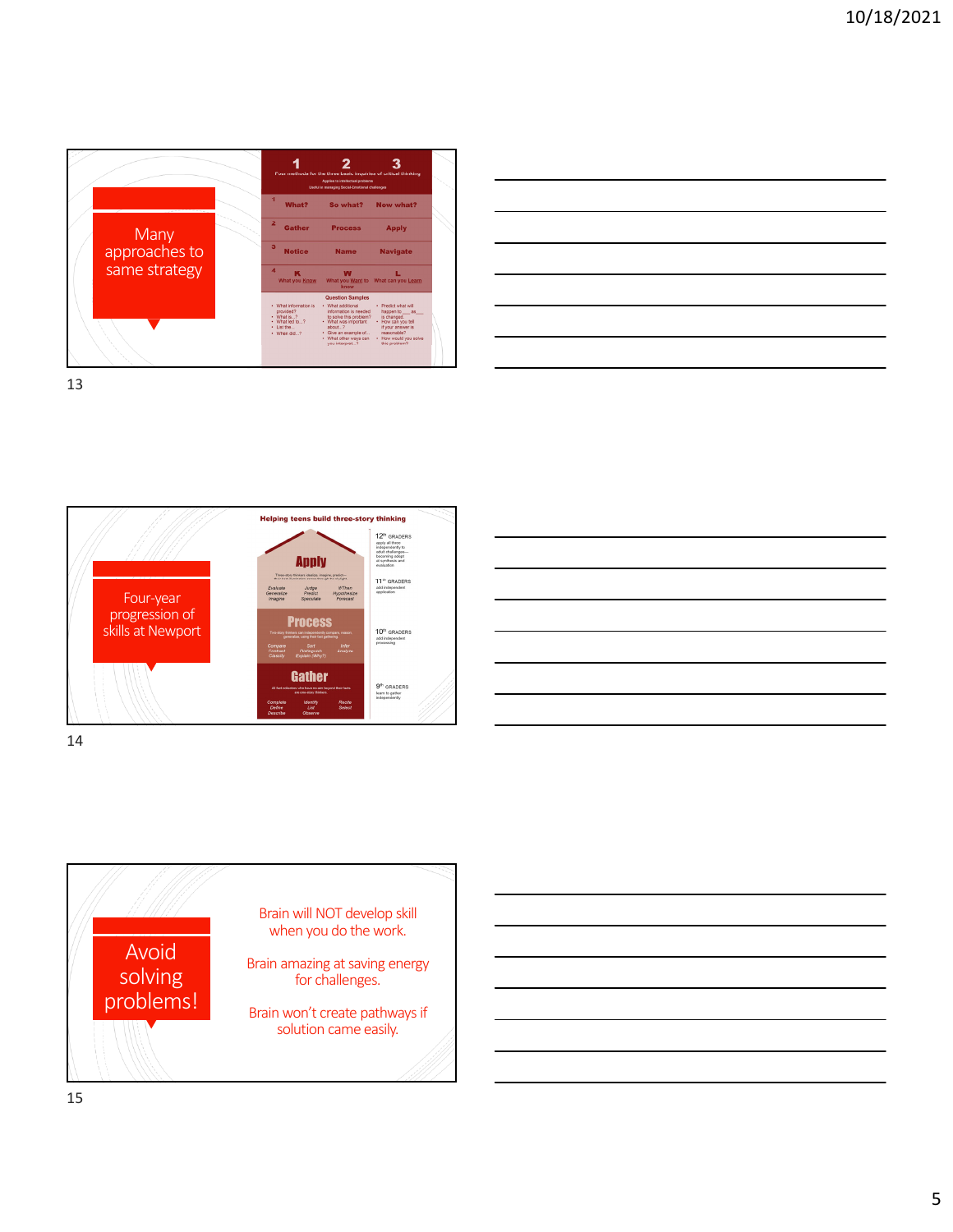

| the control of the control of the control of the control of the control of                                            |  |                                                                                                                                                                                                                                      |
|-----------------------------------------------------------------------------------------------------------------------|--|--------------------------------------------------------------------------------------------------------------------------------------------------------------------------------------------------------------------------------------|
| <u> 1989 - Johann Stoff, deutscher Stoffen und der Stoffen und der Stoffen und der Stoffen und der Stoffen und d</u>  |  | <u> The Common State Common State Common State Common State Common State Common State Common State Common State Common State Common State Common State Common State Common State Common State Common State Common State Common S</u> |
| <u> 1989 - Johann Stoff, deutscher Stoffen und der Stoffen und der Stoffen und der Stoffen und der Stoffen und de</u> |  |                                                                                                                                                                                                                                      |
|                                                                                                                       |  |                                                                                                                                                                                                                                      |
|                                                                                                                       |  |                                                                                                                                                                                                                                      |
|                                                                                                                       |  |                                                                                                                                                                                                                                      |
|                                                                                                                       |  |                                                                                                                                                                                                                                      |

13



| <u> 1989 - Johann Stoff, deutscher Stoff, der Stoff, der Stoff, der Stoff, der Stoff, der Stoff, der Stoff, der S</u>   |                                                                                                                                                                                                                                      |  |  | and the control of the control of |
|-------------------------------------------------------------------------------------------------------------------------|--------------------------------------------------------------------------------------------------------------------------------------------------------------------------------------------------------------------------------------|--|--|-----------------------------------|
| <u> 1999 - Johann Harry Harry Harry Harry Harry Harry Harry Harry Harry Harry Harry Harry Harry Harry Harry Harry H</u> |                                                                                                                                                                                                                                      |  |  |                                   |
|                                                                                                                         |                                                                                                                                                                                                                                      |  |  |                                   |
|                                                                                                                         |                                                                                                                                                                                                                                      |  |  |                                   |
|                                                                                                                         |                                                                                                                                                                                                                                      |  |  | <b>STATISTICS</b>                 |
|                                                                                                                         |                                                                                                                                                                                                                                      |  |  | ____                              |
|                                                                                                                         | <u> The Common State Common State Common State Common State Common State Common State Common State Common State Common State Common State Common State Common State Common State Common State Common State Common State Common S</u> |  |  |                                   |
|                                                                                                                         |                                                                                                                                                                                                                                      |  |  |                                   |

14